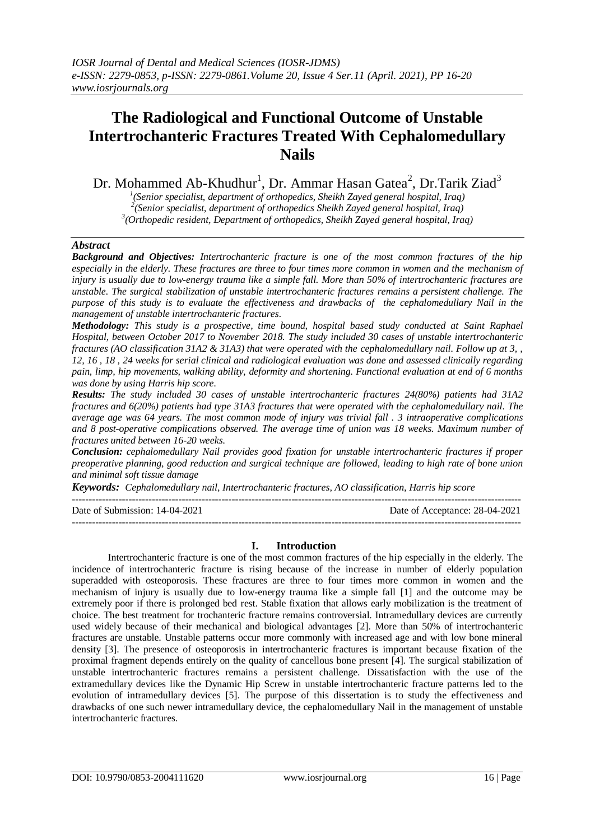# **The Radiological and Functional Outcome of Unstable Intertrochanteric Fractures Treated With Cephalomedullary Nails**

Dr. Mohammed Ab-Khudhur $^1$ , Dr. Ammar Hasan Gatea $^2$ , Dr.Tarik Ziad $^3$ 

*1 (Senior specialist, department of orthopedics, Sheikh Zayed general hospital, Iraq) 2 (Senior specialist, department of orthopedics Sheikh Zayed general hospital, Iraq)*

*3 (Orthopedic resident, Department of orthopedics, Sheikh Zayed general hospital, Iraq)*

# *Abstract*

*Background and Objectives: Intertrochanteric fracture is one of the most common fractures of the hip especially in the elderly. These fractures are three to four times more common in women and the mechanism of injury is usually due to low-energy trauma like a simple fall. More than 50% of intertrochanteric fractures are unstable. The surgical stabilization of unstable intertrochanteric fractures remains a persistent challenge. The purpose of this study is to evaluate the effectiveness and drawbacks of the cephalomedullary Nail in the management of unstable intertrochanteric fractures.*

*Methodology: This study is a prospective, time bound, hospital based study conducted at Saint Raphael Hospital, between October 2017 to November 2018. The study included 30 cases of unstable intertrochanteric fractures (AO classification 31A2 & 31A3) that were operated with the cephalomedullary nail. Follow up at 3, , 12, 16 , 18 , 24 weeks for serial clinical and radiological evaluation was done and assessed clinically regarding pain, limp, hip movements, walking ability, deformity and shortening. Functional evaluation at end of 6 months was done by using Harris hip score.*

*Results: The study included 30 cases of unstable intertrochanteric fractures 24(80%) patients had 31A2 fractures and 6(20%) patients had type 31A3 fractures that were operated with the cephalomedullary nail. The average age was 64 years. The most common mode of injury was trivial fall . 3 intraoperative complications and 8 post-operative complications observed. The average time of union was 18 weeks. Maximum number of fractures united between 16-20 weeks.*

*Conclusion: cephalomedullary Nail provides good fixation for unstable intertrochanteric fractures if proper preoperative planning, good reduction and surgical technique are followed, leading to high rate of bone union and minimal soft tissue damage* 

---------------------------------------------------------------------------------------------------------------------------------------

*Keywords: Cephalomedullary nail, Intertrochanteric fractures, AO classification, Harris hip score*

Date of Submission: 14-04-2021 Date of Acceptance: 28-04-2021

# **I. Introduction**

---------------------------------------------------------------------------------------------------------------------------------------

Intertrochanteric fracture is one of the most common fractures of the hip especially in the elderly. The incidence of intertrochanteric fracture is rising because of the increase in number of elderly population superadded with osteoporosis. These fractures are three to four times more common in women and the mechanism of injury is usually due to low-energy trauma like a simple fall [1] and the outcome may be extremely poor if there is prolonged bed rest. Stable fixation that allows early mobilization is the treatment of choice. The best treatment for trochanteric fracture remains controversial. Intramedullary devices are currently used widely because of their mechanical and biological advantages [2]. More than 50% of intertrochanteric fractures are unstable. Unstable patterns occur more commonly with increased age and with low bone mineral density [3]. The presence of osteoporosis in intertrochanteric fractures is important because fixation of the proximal fragment depends entirely on the quality of cancellous bone present [4]. The surgical stabilization of unstable intertrochanteric fractures remains a persistent challenge. Dissatisfaction with the use of the extramedullary devices like the Dynamic Hip Screw in unstable intertrochanteric fracture patterns led to the evolution of intramedullary devices [5]. The purpose of this dissertation is to study the effectiveness and drawbacks of one such newer intramedullary device, the cephalomedullary Nail in the management of unstable intertrochanteric fractures.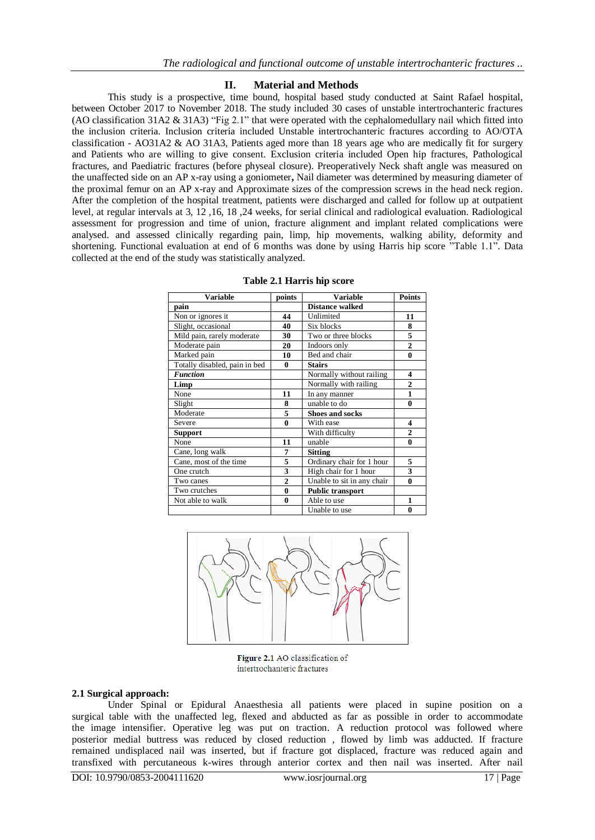# **II. Material and Methods**

This study is a prospective, time bound, hospital based study conducted at Saint Rafael hospital, between October 2017 to November 2018. The study included 30 cases of unstable intertrochanteric fractures (AO classification 31A2 & 31A3) "Fig 2.1" that were operated with the cephalomedullary nail which fitted into the inclusion criteria. Inclusion criteria included Unstable intertrochanteric fractures according to AO/OTA classification - AO31A2 & AO 31A3, Patients aged more than 18 years age who are medically fit for surgery and Patients who are willing to give consent. Exclusion criteria included Open hip fractures, Pathological fractures, and Paediatric fractures (before physeal closure). Preoperatively Neck shaft angle was measured on the unaffected side on an AP x-ray using a goniometer**,** Nail diameter was determined by measuring diameter of the proximal femur on an AP x-ray and Approximate sizes of the compression screws in the head neck region. After the completion of the hospital treatment, patients were discharged and called for follow up at outpatient level, at regular intervals at 3, 12 ,16, 18 ,24 weeks, for serial clinical and radiological evaluation. Radiological assessment for progression and time of union, fracture alignment and implant related complications were analysed. and assessed clinically regarding pain, limp, hip movements, walking ability, deformity and shortening. Functional evaluation at end of 6 months was done by using Harris hip score "Table 1.1". Data collected at the end of the study was statistically analyzed.

| <b>Variable</b>               | points         | <b>Variable</b>            | <b>Points</b>    |
|-------------------------------|----------------|----------------------------|------------------|
| pain                          |                | <b>Distance walked</b>     |                  |
| Non or ignores it             | 44             | Unlimited                  | 11               |
| Slight, occasional            | 40             | Six blocks                 | 8                |
| Mild pain, rarely moderate    | 30             | Two or three blocks        | 5                |
| Moderate pain                 | 20             | Indoors only               | $\overline{2}$   |
| Marked pain                   | 10             | Bed and chair              | $\bf{0}$         |
| Totally disabled, pain in bed | 0              | <b>Stairs</b>              |                  |
| <b>Function</b>               |                | Normally without railing   | $\boldsymbol{4}$ |
| Limp                          |                | Normally with railing      | $\overline{2}$   |
| None                          | 11             | In any manner              | 1                |
| Slight                        | 8              | unable to do               | $\bf{0}$         |
| Moderate                      | 5              | <b>Shoes and socks</b>     |                  |
| Severe                        | $\bf{0}$       | With ease                  | 4                |
| <b>Support</b>                |                | With difficulty            | $\overline{c}$   |
| None                          | 11             | unable                     | $\bf{0}$         |
| Cane, long walk               | 7              | <b>Sitting</b>             |                  |
| Cane, most of the time        | 5              | Ordinary chair for 1 hour  | 5                |
| One crutch                    | 3              | High chair for 1 hour      | 3                |
| Two canes                     | $\overline{2}$ | Unable to sit in any chair | 0                |
| Two crutches                  | $\bf{0}$       | Public transport           |                  |
| Not able to walk              | $\bf{0}$       | Able to use                | 1                |
|                               |                | Unable to use              | $\bf{0}$         |

#### **Table 2.1 Harris hip score**



Figure 2.1 AO classification of intertrochanteric fractures

#### **2.1 Surgical approach:**

Under Spinal or Epidural Anaesthesia all patients were placed in supine position on a surgical table with the unaffected leg, flexed and abducted as far as possible in order to accommodate the image intensifier. Operative leg was put on traction. A reduction protocol was followed where posterior medial buttress was reduced by closed reduction , flowed by limb was adducted. If fracture remained undisplaced nail was inserted, but if fracture got displaced, fracture was reduced again and transfixed with percutaneous k-wires through anterior cortex and then nail was inserted. After nail

DOI: 10.9790/0853-2004111620 www.iosrjournal.org 17 | Page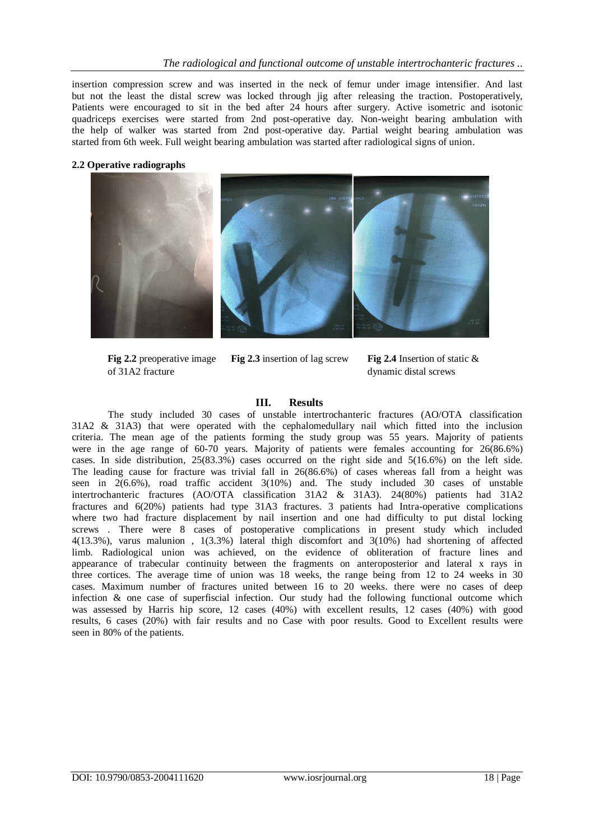insertion compression screw and was inserted in the neck of femur under image intensifier. And last but not the least the distal screw was locked through jig after releasing the traction. Postoperatively, Patients were encouraged to sit in the bed after 24 hours after surgery. Active isometric and isotonic quadriceps exercises were started from 2nd post-operative day. Non-weight bearing ambulation with the help of walker was started from 2nd post-operative day. Partial weight bearing ambulation was started from 6th week. Full weight bearing ambulation was started after radiological signs of union.

## **2.2 Operative radiographs**



**Fig 2.2** preoperative image of 31A2 fracture

**Fig 2.3** insertion of lag screw

**Fig 2.4** Insertion of static & dynamic distal screws

## **III. Results**

The study included 30 cases of unstable intertrochanteric fractures (AO/OTA classification 31A2 & 31A3) that were operated with the cephalomedullary nail which fitted into the inclusion criteria. The mean age of the patients forming the study group was 55 years. Majority of patients were in the age range of 60-70 years. Majority of patients were females accounting for 26(86.6%) cases. In side distribution, 25(83.3%) cases occurred on the right side and 5(16.6%) on the left side. The leading cause for fracture was trivial fall in 26(86.6%) of cases whereas fall from a height was seen in 2(6.6%), road traffic accident 3(10%) and. The study included 30 cases of unstable intertrochanteric fractures (AO/OTA classification 31A2 & 31A3). 24(80%) patients had 31A2 fractures and 6(20%) patients had type 31A3 fractures. 3 patients had Intra-operative complications where two had fracture displacement by nail insertion and one had difficulty to put distal locking screws . There were 8 cases of postoperative complications in present study which included 4(13.3%), varus malunion , 1(3.3%) lateral thigh discomfort and 3(10%) had shortening of affected limb. Radiological union was achieved, on the evidence of obliteration of fracture lines and appearance of trabecular continuity between the fragments on anteroposterior and lateral x rays in three cortices. The average time of union was 18 weeks, the range being from 12 to 24 weeks in 30 cases. Maximum number of fractures united between 16 to 20 weeks. there were no cases of deep infection & one case of superfiscial infection. Our study had the following functional outcome which was assessed by Harris hip score, 12 cases (40%) with excellent results, 12 cases (40%) with good results, 6 cases (20%) with fair results and no Case with poor results. Good to Excellent results were seen in 80% of the patients.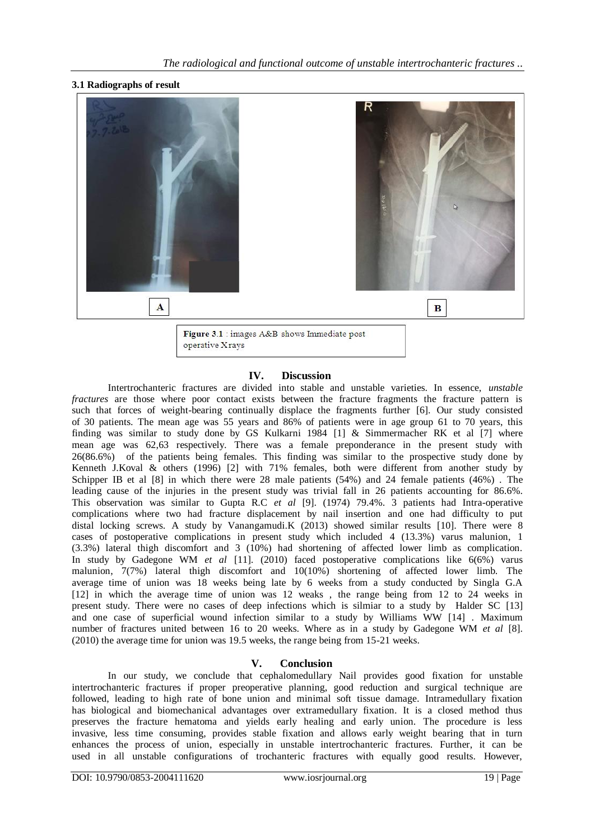# **3.1 Radiographs of result**



# **IV. Discussion**

Intertrochanteric fractures are divided into stable and unstable varieties. In essence, *unstable fractures* are those where poor contact exists between the fracture fragments the fracture pattern is such that forces of weight-bearing continually displace the fragments further [6]. Our study consisted of 30 patients. The mean age was 55 years and 86% of patients were in age group 61 to 70 years, this finding was similar to study done by GS Kulkarni 1984 [1] & Simmermacher RK et al [7] where mean age was 62,63 respectively. There was a female preponderance in the present study with 26(86.6%) of the patients being females. This finding was similar to the prospective study done by Kenneth J.Koval & others (1996) [2] with 71% females, both were different from another study by Schipper IB et al [8] in which there were 28 male patients (54%) and 24 female patients (46%) . The leading cause of the injuries in the present study was trivial fall in 26 patients accounting for 86.6%. This observation was similar to Gupta R.C *et al* [9]. (1974) 79.4%. 3 patients had Intra-operative complications where two had fracture displacement by nail insertion and one had difficulty to put distal locking screws. A study by Vanangamudi.K (2013) showed similar results [10]. There were 8 cases of postoperative complications in present study which included 4 (13.3%) varus malunion, 1 (3.3%) lateral thigh discomfort and 3 (10%) had shortening of affected lower limb as complication. In study by Gadegone WM *et al* [11]. (2010) faced postoperative complications like 6(6%) varus malunion, 7(7%) lateral thigh discomfort and 10(10%) shortening of affected lower limb. The average time of union was 18 weeks being late by 6 weeks from a study conducted by Singla G.A [12] in which the average time of union was 12 weaks , the range being from 12 to 24 weeks in present study. There were no cases of deep infections which is silmiar to a study by Halder SC [13] and one case of superficial wound infection similar to a study by Williams WW [14] . Maximum number of fractures united between 16 to 20 weeks. Where as in a study by Gadegone WM *et al* [8]. (2010) the average time for union was 19.5 weeks, the range being from 15-21 weeks.

# **V. Conclusion**

In our study, we conclude that cephalomedullary Nail provides good fixation for unstable intertrochanteric fractures if proper preoperative planning, good reduction and surgical technique are followed, leading to high rate of bone union and minimal soft tissue damage. Intramedullary fixation has biological and biomechanical advantages over extramedullary fixation. It is a closed method thus preserves the fracture hematoma and yields early healing and early union. The procedure is less invasive, less time consuming, provides stable fixation and allows early weight bearing that in turn enhances the process of union, especially in unstable intertrochanteric fractures. Further, it can be used in all unstable configurations of trochanteric fractures with equally good results. However,